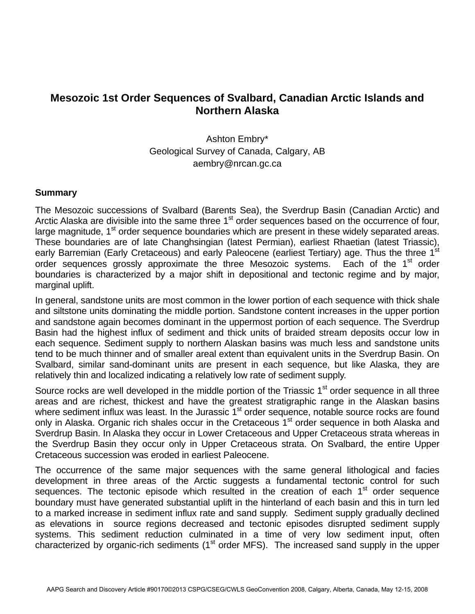## **Mesozoic 1st Order Sequences of Svalbard, Canadian Arctic Islands and Northern Alaska**

Ashton Embry\* Geological Survey of Canada, Calgary, AB aembry@nrcan.gc.ca

## **Summary**

The Mesozoic successions of Svalbard (Barents Sea), the Sverdrup Basin (Canadian Arctic) and Arctic Alaska are divisible into the same three  $1<sup>st</sup>$  order sequences based on the occurrence of four, large magnitude, 1<sup>st</sup> order sequence boundaries which are present in these widely separated areas. These boundaries are of late Changhsingian (latest Permian), earliest Rhaetian (latest Triassic), early Barremian (Early Cretaceous) and early Paleocene (earliest Tertiary) age. Thus the three 1<sup>st</sup> order sequences grossly approximate the three Mesozoic systems. Each of the  $1<sup>st</sup>$  order boundaries is characterized by a major shift in depositional and tectonic regime and by major, marginal uplift.

In general, sandstone units are most common in the lower portion of each sequence with thick shale and siltstone units dominating the middle portion. Sandstone content increases in the upper portion and sandstone again becomes dominant in the uppermost portion of each sequence. The Sverdrup Basin had the highest influx of sediment and thick units of braided stream deposits occur low in each sequence. Sediment supply to northern Alaskan basins was much less and sandstone units tend to be much thinner and of smaller areal extent than equivalent units in the Sverdrup Basin. On Svalbard, similar sand-dominant units are present in each sequence, but like Alaska, they are relatively thin and localized indicating a relatively low rate of sediment supply.

Source rocks are well developed in the middle portion of the Triassic 1<sup>st</sup> order sequence in all three areas and are richest, thickest and have the greatest stratigraphic range in the Alaskan basins where sediment influx was least. In the Jurassic 1<sup>st</sup> order sequence, notable source rocks are found only in Alaska. Organic rich shales occur in the Cretaceous 1<sup>st</sup> order sequence in both Alaska and Sverdrup Basin. In Alaska they occur in Lower Cretaceous and Upper Cretaceous strata whereas in the Sverdrup Basin they occur only in Upper Cretaceous strata. On Svalbard, the entire Upper Cretaceous succession was eroded in earliest Paleocene.

The occurrence of the same major sequences with the same general lithological and facies development in three areas of the Arctic suggests a fundamental tectonic control for such sequences. The tectonic episode which resulted in the creation of each  $1<sup>st</sup>$  order sequence boundary must have generated substantial uplift in the hinterland of each basin and this in turn led to a marked increase in sediment influx rate and sand supply. Sediment supply gradually declined as elevations in source regions decreased and tectonic episodes disrupted sediment supply systems. This sediment reduction culminated in a time of very low sediment input, often characterized by organic-rich sediments ( $1<sup>st</sup>$  order MFS). The increased sand supply in the upper